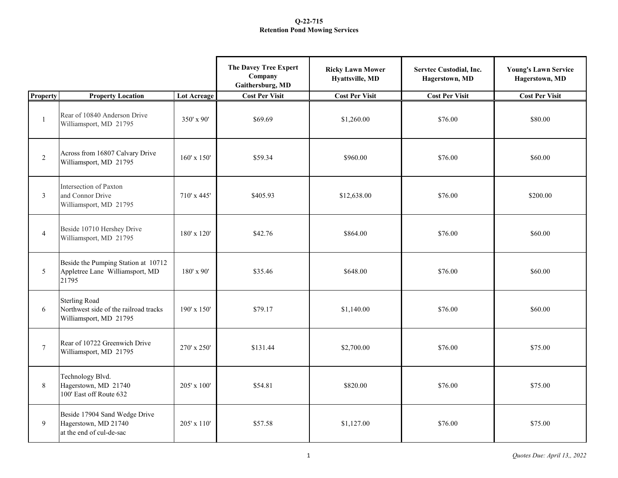|                 |                                                                                         |                    | The Davey Tree Expert<br>Company<br>Gaithersburg, MD | <b>Ricky Lawn Mower</b><br>Hyattsville, MD | Servtec Custodial, Inc.<br>Hagerstown, MD | <b>Young's Lawn Service</b><br>Hagerstown, MD |
|-----------------|-----------------------------------------------------------------------------------------|--------------------|------------------------------------------------------|--------------------------------------------|-------------------------------------------|-----------------------------------------------|
| <b>Property</b> | <b>Property Location</b>                                                                | <b>Lot Acreage</b> | <b>Cost Per Visit</b>                                | <b>Cost Per Visit</b>                      | <b>Cost Per Visit</b>                     | <b>Cost Per Visit</b>                         |
| $\mathbf{1}$    | Rear of 10840 Anderson Drive<br>Williamsport, MD 21795                                  | 350' x 90'         | \$69.69                                              | \$1,260.00                                 | \$76.00                                   | \$80.00                                       |
| $\overline{2}$  | Across from 16807 Calvary Drive<br>Williamsport, MD 21795                               | $160' \times 150'$ | \$59.34                                              | \$960.00                                   | \$76.00                                   | \$60.00                                       |
| $\mathfrak{Z}$  | Intersection of Paxton<br>and Connor Drive<br>Williamsport, MD 21795                    | 710' x 445'        | \$405.93                                             | \$12,638.00                                | \$76.00                                   | \$200.00                                      |
| $\overline{4}$  | Beside 10710 Hershey Drive<br>Williamsport, MD 21795                                    | 180' x 120'        | \$42.76                                              | \$864.00                                   | \$76.00                                   | \$60.00                                       |
| 5               | Beside the Pumping Station at 10712<br>Appletree Lane Williamsport, MD<br>21795         | $180'$ x 90'       | \$35.46                                              | \$648.00                                   | \$76.00                                   | \$60.00                                       |
| 6               | <b>Sterling Road</b><br>Northwest side of the railroad tracks<br>Williamsport, MD 21795 | 190' x 150'        | \$79.17                                              | \$1,140.00                                 | \$76.00                                   | \$60.00                                       |
| $\tau$          | Rear of 10722 Greenwich Drive<br>Williamsport, MD 21795                                 | 270' x 250'        | \$131.44                                             | \$2,700.00                                 | \$76.00                                   | \$75.00                                       |
| $\,8\,$         | Technology Blvd.<br>Hagerstown, MD 21740<br>100' East off Route 632                     | $205' \times 100'$ | \$54.81                                              | \$820.00                                   | \$76.00                                   | \$75.00                                       |
| 9               | Beside 17904 Sand Wedge Drive<br>Hagerstown, MD 21740<br>at the end of cul-de-sac       | 205' x 110'        | \$57.58                                              | \$1,127.00                                 | \$76.00                                   | \$75.00                                       |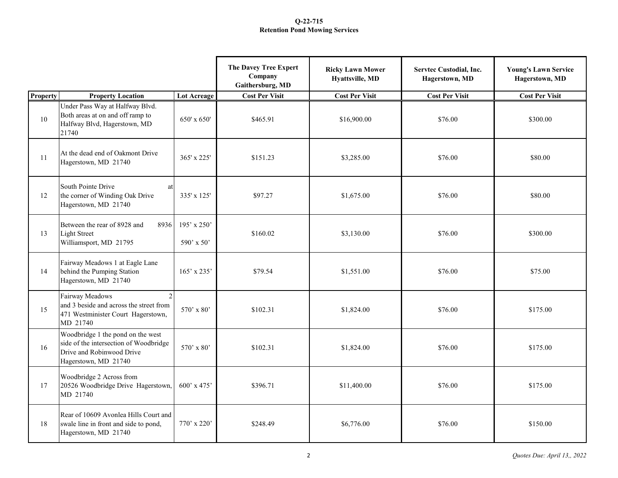|                 |                                                                                                                                  |                           | The Davey Tree Expert<br>Company<br>Gaithersburg, MD | <b>Ricky Lawn Mower</b><br>Hyattsville, MD | Servtec Custodial, Inc.<br>Hagerstown, MD | <b>Young's Lawn Service</b><br>Hagerstown, MD |
|-----------------|----------------------------------------------------------------------------------------------------------------------------------|---------------------------|------------------------------------------------------|--------------------------------------------|-------------------------------------------|-----------------------------------------------|
| <b>Property</b> | <b>Property Location</b>                                                                                                         | <b>Lot Acreage</b>        | <b>Cost Per Visit</b>                                | <b>Cost Per Visit</b>                      | <b>Cost Per Visit</b>                     | <b>Cost Per Visit</b>                         |
| 10              | Under Pass Way at Halfway Blvd.<br>Both areas at on and off ramp to<br>Halfway Blvd, Hagerstown, MD<br>21740                     | 650' x 650'               | \$465.91                                             | \$16,900.00                                | \$76.00                                   | \$300.00                                      |
| 11              | At the dead end of Oakmont Drive<br>Hagerstown, MD 21740                                                                         | 365' x 225'               | \$151.23                                             | \$3,285.00                                 | \$76.00                                   | \$80.00                                       |
| 12              | South Pointe Drive<br>at<br>the corner of Winding Oak Drive<br>Hagerstown, MD 21740                                              | 335' x 125'               | \$97.27                                              | \$1,675.00                                 | \$76.00                                   | \$80.00                                       |
| 13              | Between the rear of 8928 and<br>8936<br><b>Light Street</b><br>Williamsport, MD 21795                                            | 195' x 250'<br>590' x 50' | \$160.02                                             | \$3,130.00                                 | \$76.00                                   | \$300.00                                      |
| 14              | Fairway Meadows 1 at Eagle Lane<br>behind the Pumping Station<br>Hagerstown, MD 21740                                            | 165' x 235'               | \$79.54                                              | \$1,551.00                                 | \$76.00                                   | \$75.00                                       |
| 15              | $\overline{c}$<br>Fairway Meadows<br>and 3 beside and across the street from<br>471 Westminister Court Hagerstown,<br>MD 21740   | 570' x 80'                | \$102.31                                             | \$1,824.00                                 | \$76.00                                   | \$175.00                                      |
| 16              | Woodbridge 1 the pond on the west<br>side of the intersection of Woodbridge<br>Drive and Robinwood Drive<br>Hagerstown, MD 21740 | $570'$ x 80'              | \$102.31                                             | \$1,824.00                                 | \$76.00                                   | \$175.00                                      |
| 17              | Woodbridge 2 Across from<br>20526 Woodbridge Drive Hagerstown,<br>MD 21740                                                       | 600' x 475'               | \$396.71                                             | \$11,400.00                                | \$76.00                                   | \$175.00                                      |
| 18              | Rear of 10609 Avonlea Hills Court and<br>swale line in front and side to pond,<br>Hagerstown, MD 21740                           | $770'$ x 220'             | \$248.49                                             | \$6,776.00                                 | \$76.00                                   | \$150.00                                      |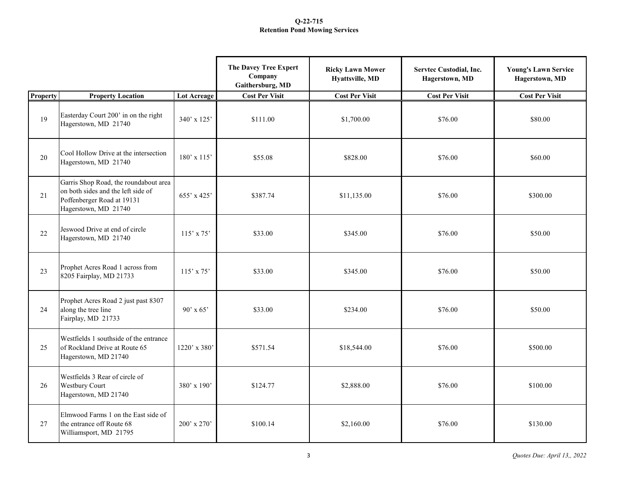|          |                                                                                                                                   |                    | The Davey Tree Expert<br>Company<br>Gaithersburg, MD | <b>Ricky Lawn Mower</b><br>Hyattsville, MD | Servtec Custodial, Inc.<br>Hagerstown, MD | <b>Young's Lawn Service</b><br>Hagerstown, MD |
|----------|-----------------------------------------------------------------------------------------------------------------------------------|--------------------|------------------------------------------------------|--------------------------------------------|-------------------------------------------|-----------------------------------------------|
| Property | <b>Property Location</b>                                                                                                          | <b>Lot Acreage</b> | <b>Cost Per Visit</b>                                | <b>Cost Per Visit</b>                      | <b>Cost Per Visit</b>                     | <b>Cost Per Visit</b>                         |
| 19       | Easterday Court 200' in on the right<br>Hagerstown, MD 21740                                                                      | 340' x 125'        | \$111.00                                             | \$1,700.00                                 | \$76.00                                   | \$80.00                                       |
| 20       | Cool Hollow Drive at the intersection<br>Hagerstown, MD 21740                                                                     | 180' x 115'        | \$55.08                                              | \$828.00                                   | \$76.00                                   | \$60.00                                       |
| 21       | Garris Shop Road, the roundabout area<br>on both sides and the left side of<br>Poffenberger Road at 19131<br>Hagerstown, MD 21740 | 655' x 425'        | \$387.74                                             | \$11,135.00                                | \$76.00                                   | \$300.00                                      |
| 22       | Jeswood Drive at end of circle<br>Hagerstown, MD 21740                                                                            | $115'$ x 75'       | \$33.00                                              | \$345.00                                   | \$76.00                                   | \$50.00                                       |
| 23       | Prophet Acres Road 1 across from<br>8205 Fairplay, MD 21733                                                                       | 115' x 75'         | \$33.00                                              | \$345.00                                   | \$76.00                                   | \$50.00                                       |
| 24       | Prophet Acres Road 2 just past 8307<br>along the tree line<br>Fairplay, MD 21733                                                  | $90'$ x 65'        | \$33.00                                              | \$234.00                                   | \$76.00                                   | \$50.00                                       |
| 25       | Westfields 1 southside of the entrance<br>of Rockland Drive at Route 65<br>Hagerstown, MD 21740                                   | 1220' x 380'       | \$571.54                                             | \$18,544.00                                | \$76.00                                   | \$500.00                                      |
| 26       | Westfields 3 Rear of circle of<br>Westbury Court<br>Hagerstown, MD 21740                                                          | $380'$ x $190'$    | \$124.77                                             | \$2,888.00                                 | \$76.00                                   | \$100.00                                      |
| 27       | Elmwood Farms 1 on the East side of<br>the entrance off Route 68<br>Williamsport, MD 21795                                        | 200' x 270'        | \$100.14                                             | \$2,160.00                                 | \$76.00                                   | \$130.00                                      |